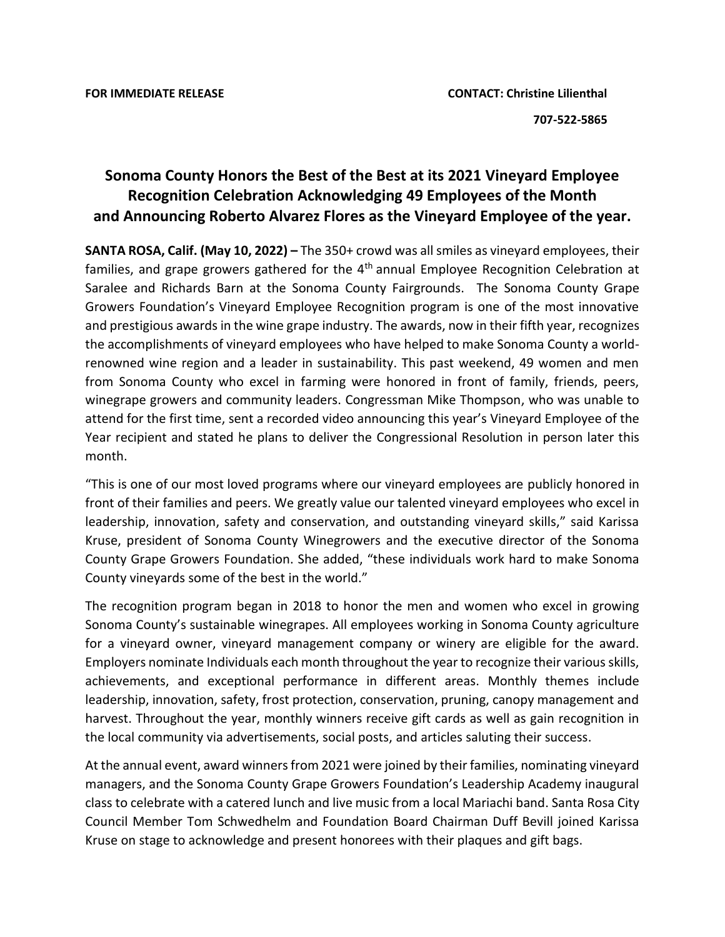## **Sonoma County Honors the Best of the Best at its 2021 Vineyard Employee Recognition Celebration Acknowledging 49 Employees of the Month and Announcing Roberto Alvarez Flores as the Vineyard Employee of the year.**

**SANTA ROSA, Calif. (May 10, 2022) –** The 350+ crowd was all smiles as vineyard employees, their families, and grape growers gathered for the  $4<sup>th</sup>$  annual Employee Recognition Celebration at Saralee and Richards Barn at the Sonoma County Fairgrounds. The Sonoma County Grape Growers Foundation's Vineyard Employee Recognition program is one of the most innovative and prestigious awards in the wine grape industry. The awards, now in their fifth year, recognizes the accomplishments of vineyard employees who have helped to make Sonoma County a worldrenowned wine region and a leader in sustainability. This past weekend, 49 women and men from Sonoma County who excel in farming were honored in front of family, friends, peers, winegrape growers and community leaders. Congressman Mike Thompson, who was unable to attend for the first time, sent a recorded video announcing this year's Vineyard Employee of the Year recipient and stated he plans to deliver the Congressional Resolution in person later this month.

"This is one of our most loved programs where our vineyard employees are publicly honored in front of their families and peers. We greatly value our talented vineyard employees who excel in leadership, innovation, safety and conservation, and outstanding vineyard skills," said Karissa Kruse, president of Sonoma County Winegrowers and the executive director of the Sonoma County Grape Growers Foundation. She added, "these individuals work hard to make Sonoma County vineyards some of the best in the world."

The recognition program began in 2018 to honor the men and women who excel in growing Sonoma County's sustainable winegrapes. All employees working in Sonoma County agriculture for a vineyard owner, vineyard management company or winery are eligible for the award. Employers nominate Individuals each month throughout the year to recognize their various skills, achievements, and exceptional performance in different areas. Monthly themes include leadership, innovation, safety, frost protection, conservation, pruning, canopy management and harvest. Throughout the year, monthly winners receive gift cards as well as gain recognition in the local community via advertisements, social posts, and articles saluting their success.

At the annual event, award winners from 2021 were joined by their families, nominating vineyard managers, and the Sonoma County Grape Growers Foundation's Leadership Academy inaugural class to celebrate with a catered lunch and live music from a local Mariachi band. Santa Rosa City Council Member Tom Schwedhelm and Foundation Board Chairman Duff Bevill joined Karissa Kruse on stage to acknowledge and present honorees with their plaques and gift bags.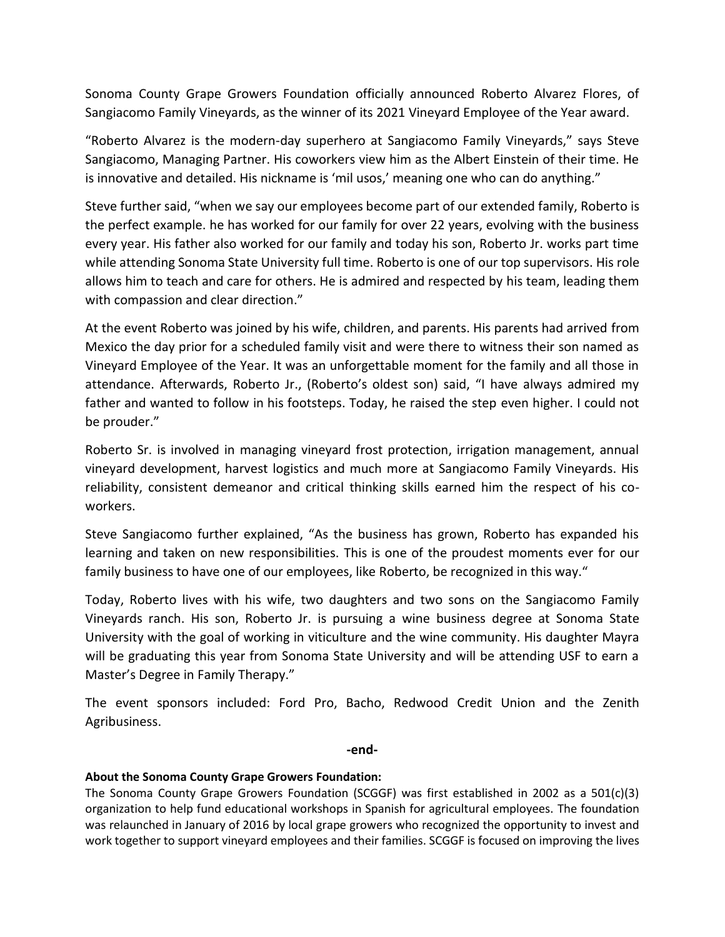Sonoma County Grape Growers Foundation officially announced Roberto Alvarez Flores, of Sangiacomo Family Vineyards, as the winner of its 2021 Vineyard Employee of the Year award.

"Roberto Alvarez is the modern-day superhero at Sangiacomo Family Vineyards," says Steve Sangiacomo, Managing Partner. His coworkers view him as the Albert Einstein of their time. He is innovative and detailed. His nickname is 'mil usos,' meaning one who can do anything."

Steve further said, "when we say our employees become part of our extended family, Roberto is the perfect example. he has worked for our family for over 22 years, evolving with the business every year. His father also worked for our family and today his son, Roberto Jr. works part time while attending Sonoma State University full time. Roberto is one of our top supervisors. His role allows him to teach and care for others. He is admired and respected by his team, leading them with compassion and clear direction."

At the event Roberto was joined by his wife, children, and parents. His parents had arrived from Mexico the day prior for a scheduled family visit and were there to witness their son named as Vineyard Employee of the Year. It was an unforgettable moment for the family and all those in attendance. Afterwards, Roberto Jr., (Roberto's oldest son) said, "I have always admired my father and wanted to follow in his footsteps. Today, he raised the step even higher. I could not be prouder."

Roberto Sr. is involved in managing vineyard frost protection, irrigation management, annual vineyard development, harvest logistics and much more at Sangiacomo Family Vineyards. His reliability, consistent demeanor and critical thinking skills earned him the respect of his coworkers.

Steve Sangiacomo further explained, "As the business has grown, Roberto has expanded his learning and taken on new responsibilities. This is one of the proudest moments ever for our family business to have one of our employees, like Roberto, be recognized in this way."

Today, Roberto lives with his wife, two daughters and two sons on the Sangiacomo Family Vineyards ranch. His son, Roberto Jr. is pursuing a wine business degree at Sonoma State University with the goal of working in viticulture and the wine community. His daughter Mayra will be graduating this year from Sonoma State University and will be attending USF to earn a Master's Degree in Family Therapy."

The event sponsors included: Ford Pro, Bacho, Redwood Credit Union and the Zenith Agribusiness.

## **-end-**

## **About the Sonoma County Grape Growers Foundation:**

The Sonoma County Grape Growers Foundation (SCGGF) was first established in 2002 as a 501(c)(3) organization to help fund educational workshops in Spanish for agricultural employees. The foundation was relaunched in January of 2016 by local grape growers who recognized the opportunity to invest and work together to support vineyard employees and their families. SCGGF is focused on improving the lives